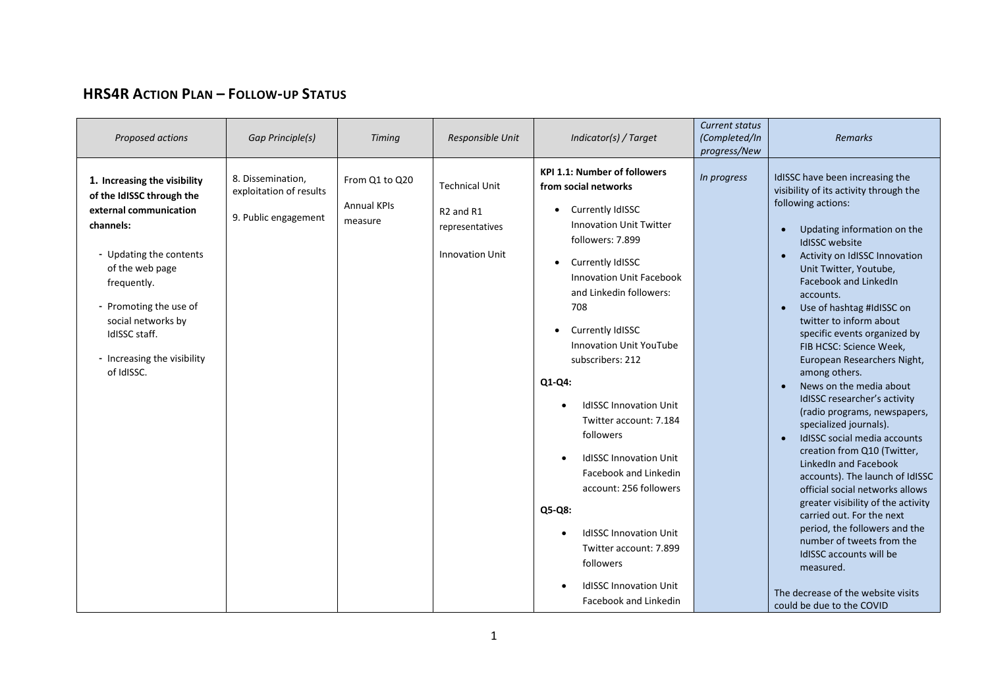## **HRS4R ACTION PLAN – FOLLOW-UP STATUS**

| Proposed actions                                                                                                                                                                                                                                                            | <b>Gap Principle(s)</b>                                              | <b>Timing</b>                                   | Responsible Unit                                                                                        | Indicator(s) / Target                                                                                                                                                                                                                                                                                                                                                                                                                                                                                                                                                                                                                                               | <b>Current status</b><br>(Completed/In<br>progress/New | <b>Remarks</b>                                                                                                                                                                                                                                                                                                                                                                                                                                                                                                                                                                                                                                                                                                                                                                                                                                                                                                                                             |
|-----------------------------------------------------------------------------------------------------------------------------------------------------------------------------------------------------------------------------------------------------------------------------|----------------------------------------------------------------------|-------------------------------------------------|---------------------------------------------------------------------------------------------------------|---------------------------------------------------------------------------------------------------------------------------------------------------------------------------------------------------------------------------------------------------------------------------------------------------------------------------------------------------------------------------------------------------------------------------------------------------------------------------------------------------------------------------------------------------------------------------------------------------------------------------------------------------------------------|--------------------------------------------------------|------------------------------------------------------------------------------------------------------------------------------------------------------------------------------------------------------------------------------------------------------------------------------------------------------------------------------------------------------------------------------------------------------------------------------------------------------------------------------------------------------------------------------------------------------------------------------------------------------------------------------------------------------------------------------------------------------------------------------------------------------------------------------------------------------------------------------------------------------------------------------------------------------------------------------------------------------------|
| 1. Increasing the visibility<br>of the IdISSC through the<br>external communication<br>channels:<br>- Updating the contents<br>of the web page<br>frequently.<br>- Promoting the use of<br>social networks by<br>IdISSC staff.<br>- Increasing the visibility<br>of IdISSC. | 8. Dissemination,<br>exploitation of results<br>9. Public engagement | From Q1 to Q20<br><b>Annual KPIs</b><br>measure | <b>Technical Unit</b><br>R <sub>2</sub> and R <sub>1</sub><br>representatives<br><b>Innovation Unit</b> | <b>KPI 1.1: Number of followers</b><br>from social networks<br>Currently IdISSC<br>$\bullet$<br><b>Innovation Unit Twitter</b><br>followers: 7.899<br>Currently IdISSC<br>$\bullet$<br><b>Innovation Unit Facebook</b><br>and Linkedin followers:<br>708<br>Currently IdISSC<br>$\bullet$<br><b>Innovation Unit YouTube</b><br>subscribers: 212<br>$Q1-Q4:$<br><b>IdISSC Innovation Unit</b><br>Twitter account: 7.184<br>followers<br><b>IdISSC Innovation Unit</b><br>Facebook and Linkedin<br>account: 256 followers<br>Q5-Q8:<br><b>IdISSC Innovation Unit</b><br>Twitter account: 7.899<br>followers<br><b>IdISSC Innovation Unit</b><br>Facebook and Linkedin | In progress                                            | IdISSC have been increasing the<br>visibility of its activity through the<br>following actions:<br>Updating information on the<br><b>IdISSC</b> website<br>Activity on IdISSC Innovation<br>Unit Twitter, Youtube,<br>Facebook and LinkedIn<br>accounts.<br>Use of hashtag #IdISSC on<br>twitter to inform about<br>specific events organized by<br>FIB HCSC: Science Week,<br>European Researchers Night,<br>among others.<br>News on the media about<br>IdISSC researcher's activity<br>(radio programs, newspapers,<br>specialized journals).<br>IdISSC social media accounts<br>creation from Q10 (Twitter,<br>LinkedIn and Facebook<br>accounts). The launch of IdISSC<br>official social networks allows<br>greater visibility of the activity<br>carried out. For the next<br>period, the followers and the<br>number of tweets from the<br>IdISSC accounts will be<br>measured.<br>The decrease of the website visits<br>could be due to the COVID |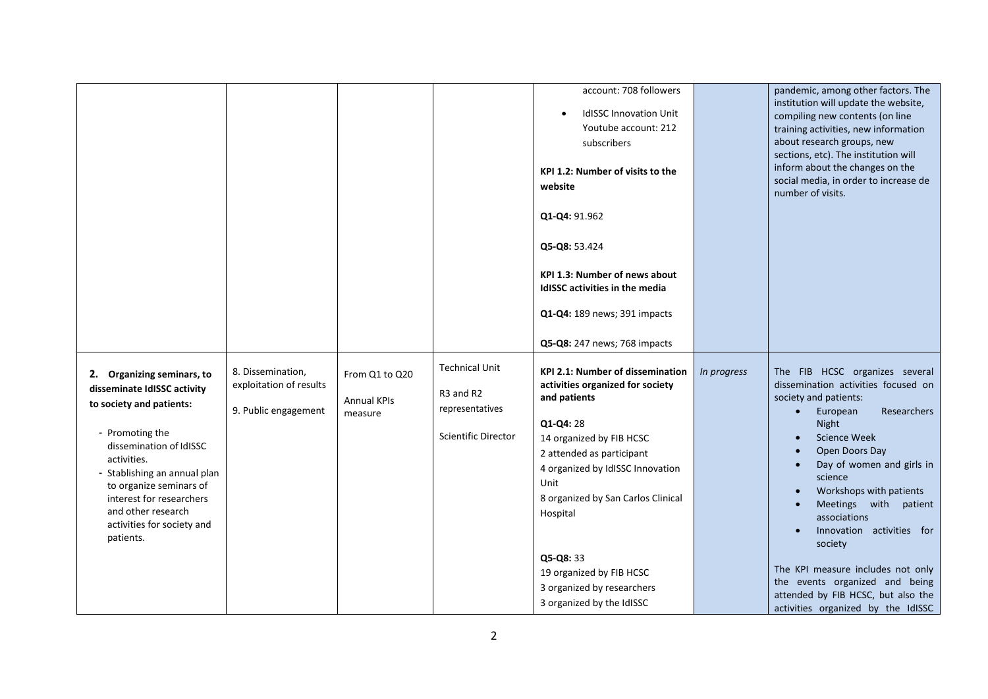|                                                                                                                                                                                                                                                                                                            |                                                                      |                                                 |                                                                                     | account: 708 followers<br><b>IdISSC Innovation Unit</b><br>Youtube account: 212<br>subscribers<br>KPI 1.2: Number of visits to the<br>website<br>Q1-Q4: 91.962                                                                                                  |             | pandemic, among other factors. The<br>institution will update the website,<br>compiling new contents (on line<br>training activities, new information<br>about research groups, new<br>sections, etc). The institution will<br>inform about the changes on the<br>social media, in order to increase de<br>number of visits.                                           |
|------------------------------------------------------------------------------------------------------------------------------------------------------------------------------------------------------------------------------------------------------------------------------------------------------------|----------------------------------------------------------------------|-------------------------------------------------|-------------------------------------------------------------------------------------|-----------------------------------------------------------------------------------------------------------------------------------------------------------------------------------------------------------------------------------------------------------------|-------------|------------------------------------------------------------------------------------------------------------------------------------------------------------------------------------------------------------------------------------------------------------------------------------------------------------------------------------------------------------------------|
|                                                                                                                                                                                                                                                                                                            |                                                                      |                                                 |                                                                                     | Q5-Q8: 53.424<br><b>KPI 1.3: Number of news about</b><br>IdISSC activities in the media<br>Q1-Q4: 189 news; 391 impacts<br>Q5-Q8: 247 news; 768 impacts                                                                                                         |             |                                                                                                                                                                                                                                                                                                                                                                        |
| 2. Organizing seminars, to<br>disseminate IdISSC activity<br>to society and patients:<br>- Promoting the<br>dissemination of IdISSC<br>activities.<br>- Stablishing an annual plan<br>to organize seminars of<br>interest for researchers<br>and other research<br>activities for society and<br>patients. | 8. Dissemination,<br>exploitation of results<br>9. Public engagement | From Q1 to Q20<br><b>Annual KPIs</b><br>measure | <b>Technical Unit</b><br>R3 and R2<br>representatives<br><b>Scientific Director</b> | <b>KPI 2.1: Number of dissemination</b><br>activities organized for society<br>and patients<br>Q1-Q4: 28<br>14 organized by FIB HCSC<br>2 attended as participant<br>4 organized by IdISSC Innovation<br>Unit<br>8 organized by San Carlos Clinical<br>Hospital | In progress | The FIB HCSC organizes several<br>dissemination activities focused on<br>society and patients:<br>Researchers<br>European<br>$\bullet$<br>Night<br><b>Science Week</b><br>Open Doors Day<br>Day of women and girls in<br>$\bullet$<br>science<br>Workshops with patients<br>Meetings with patient<br>associations<br>Innovation activities for<br>$\bullet$<br>society |
|                                                                                                                                                                                                                                                                                                            |                                                                      |                                                 |                                                                                     | Q5-Q8: 33<br>19 organized by FIB HCSC<br>3 organized by researchers<br>3 organized by the IdISSC                                                                                                                                                                |             | The KPI measure includes not only<br>the events organized and being<br>attended by FIB HCSC, but also the<br>activities organized by the IdISSC                                                                                                                                                                                                                        |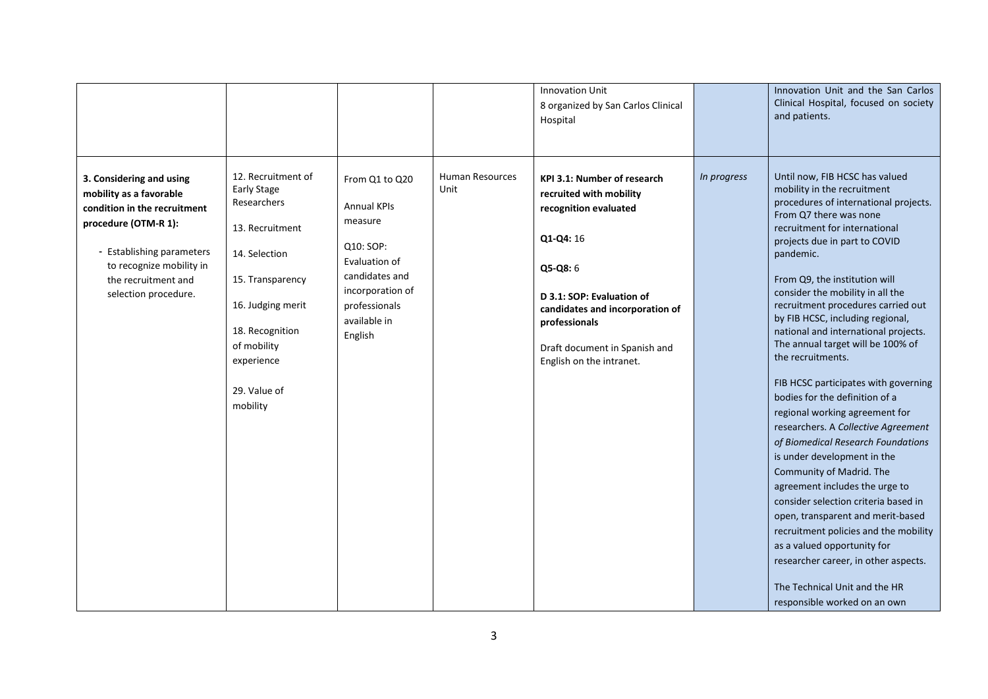|                                                                                                                                                                                                                     |                                                                                                                                                                                                                  |                                                                                                                                                                 |                         | <b>Innovation Unit</b><br>8 organized by San Carlos Clinical<br>Hospital                                                                                                                                                                                      |             | Innovation Unit and the San Carlos<br>Clinical Hospital, focused on society<br>and patients.                                                                                                                                                                                                                                                                                                                                                                                                                                                                                                                                                                                                                                                                                                                                                                                                                                                                                                                         |
|---------------------------------------------------------------------------------------------------------------------------------------------------------------------------------------------------------------------|------------------------------------------------------------------------------------------------------------------------------------------------------------------------------------------------------------------|-----------------------------------------------------------------------------------------------------------------------------------------------------------------|-------------------------|---------------------------------------------------------------------------------------------------------------------------------------------------------------------------------------------------------------------------------------------------------------|-------------|----------------------------------------------------------------------------------------------------------------------------------------------------------------------------------------------------------------------------------------------------------------------------------------------------------------------------------------------------------------------------------------------------------------------------------------------------------------------------------------------------------------------------------------------------------------------------------------------------------------------------------------------------------------------------------------------------------------------------------------------------------------------------------------------------------------------------------------------------------------------------------------------------------------------------------------------------------------------------------------------------------------------|
| 3. Considering and using<br>mobility as a favorable<br>condition in the recruitment<br>procedure (OTM-R 1):<br>- Establishing parameters<br>to recognize mobility in<br>the recruitment and<br>selection procedure. | 12. Recruitment of<br><b>Early Stage</b><br>Researchers<br>13. Recruitment<br>14. Selection<br>15. Transparency<br>16. Judging merit<br>18. Recognition<br>of mobility<br>experience<br>29. Value of<br>mobility | From Q1 to Q20<br><b>Annual KPIs</b><br>measure<br>Q10: SOP:<br>Evaluation of<br>candidates and<br>incorporation of<br>professionals<br>available in<br>English | Human Resources<br>Unit | <b>KPI 3.1: Number of research</b><br>recruited with mobility<br>recognition evaluated<br>Q1-Q4: 16<br>Q5-Q8: 6<br>D 3.1: SOP: Evaluation of<br>candidates and incorporation of<br>professionals<br>Draft document in Spanish and<br>English on the intranet. | In progress | Until now, FIB HCSC has valued<br>mobility in the recruitment<br>procedures of international projects.<br>From Q7 there was none<br>recruitment for international<br>projects due in part to COVID<br>pandemic.<br>From Q9, the institution will<br>consider the mobility in all the<br>recruitment procedures carried out<br>by FIB HCSC, including regional,<br>national and international projects.<br>The annual target will be 100% of<br>the recruitments.<br>FIB HCSC participates with governing<br>bodies for the definition of a<br>regional working agreement for<br>researchers. A Collective Agreement<br>of Biomedical Research Foundations<br>is under development in the<br>Community of Madrid. The<br>agreement includes the urge to<br>consider selection criteria based in<br>open, transparent and merit-based<br>recruitment policies and the mobility<br>as a valued opportunity for<br>researcher career, in other aspects.<br>The Technical Unit and the HR<br>responsible worked on an own |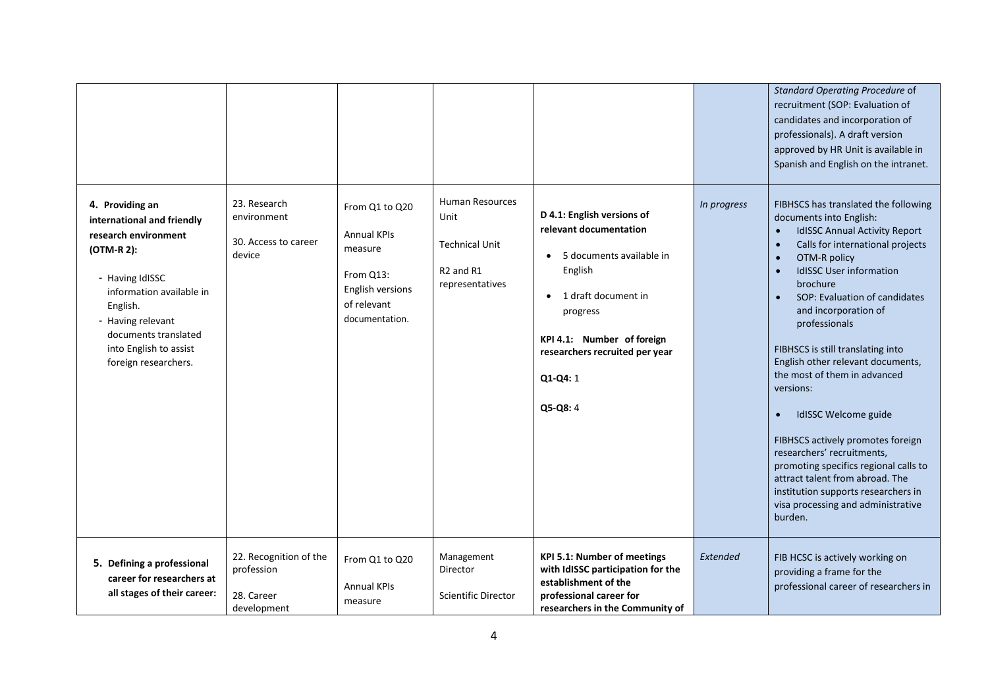|                                                                                                                                                                                                                                               |                                                                   |                                                                                                                   |                                                                                                                 |                                                                                                                                                                                                                                     |             | Standard Operating Procedure of<br>recruitment (SOP: Evaluation of<br>candidates and incorporation of<br>professionals). A draft version<br>approved by HR Unit is available in<br>Spanish and English on the intranet.                                                                                                                                                                                                                                                                                                                                                                                                                                                                                                       |
|-----------------------------------------------------------------------------------------------------------------------------------------------------------------------------------------------------------------------------------------------|-------------------------------------------------------------------|-------------------------------------------------------------------------------------------------------------------|-----------------------------------------------------------------------------------------------------------------|-------------------------------------------------------------------------------------------------------------------------------------------------------------------------------------------------------------------------------------|-------------|-------------------------------------------------------------------------------------------------------------------------------------------------------------------------------------------------------------------------------------------------------------------------------------------------------------------------------------------------------------------------------------------------------------------------------------------------------------------------------------------------------------------------------------------------------------------------------------------------------------------------------------------------------------------------------------------------------------------------------|
| 4. Providing an<br>international and friendly<br>research environment<br>(OTM-R 2):<br>- Having IdISSC<br>information available in<br>English.<br>- Having relevant<br>documents translated<br>into English to assist<br>foreign researchers. | 23. Research<br>environment<br>30. Access to career<br>device     | From Q1 to Q20<br><b>Annual KPIs</b><br>measure<br>From Q13:<br>English versions<br>of relevant<br>documentation. | <b>Human Resources</b><br>Unit<br><b>Technical Unit</b><br>R <sub>2</sub> and R <sub>1</sub><br>representatives | D 4.1: English versions of<br>relevant documentation<br>5 documents available in<br>English<br>1 draft document in<br>$\bullet$<br>progress<br>KPI 4.1: Number of foreign<br>researchers recruited per year<br>Q1-Q4: 1<br>Q5-Q8: 4 | In progress | FIBHSCS has translated the following<br>documents into English:<br><b>IdISSC Annual Activity Report</b><br>$\bullet$<br>Calls for international projects<br>$\bullet$<br>OTM-R policy<br>$\bullet$<br><b>IdISSC User information</b><br>$\bullet$<br>brochure<br>SOP: Evaluation of candidates<br>and incorporation of<br>professionals<br>FIBHSCS is still translating into<br>English other relevant documents,<br>the most of them in advanced<br>versions:<br>IdISSC Welcome guide<br>FIBHSCS actively promotes foreign<br>researchers' recruitments,<br>promoting specifics regional calls to<br>attract talent from abroad. The<br>institution supports researchers in<br>visa processing and administrative<br>burden. |
| 5. Defining a professional<br>career for researchers at<br>all stages of their career:                                                                                                                                                        | 22. Recognition of the<br>profession<br>28. Career<br>development | From Q1 to Q20<br><b>Annual KPIs</b><br>measure                                                                   | Management<br>Director<br><b>Scientific Director</b>                                                            | <b>KPI 5.1: Number of meetings</b><br>with IdISSC participation for the<br>establishment of the<br>professional career for<br>researchers in the Community of                                                                       | Extended    | FIB HCSC is actively working on<br>providing a frame for the<br>professional career of researchers in                                                                                                                                                                                                                                                                                                                                                                                                                                                                                                                                                                                                                         |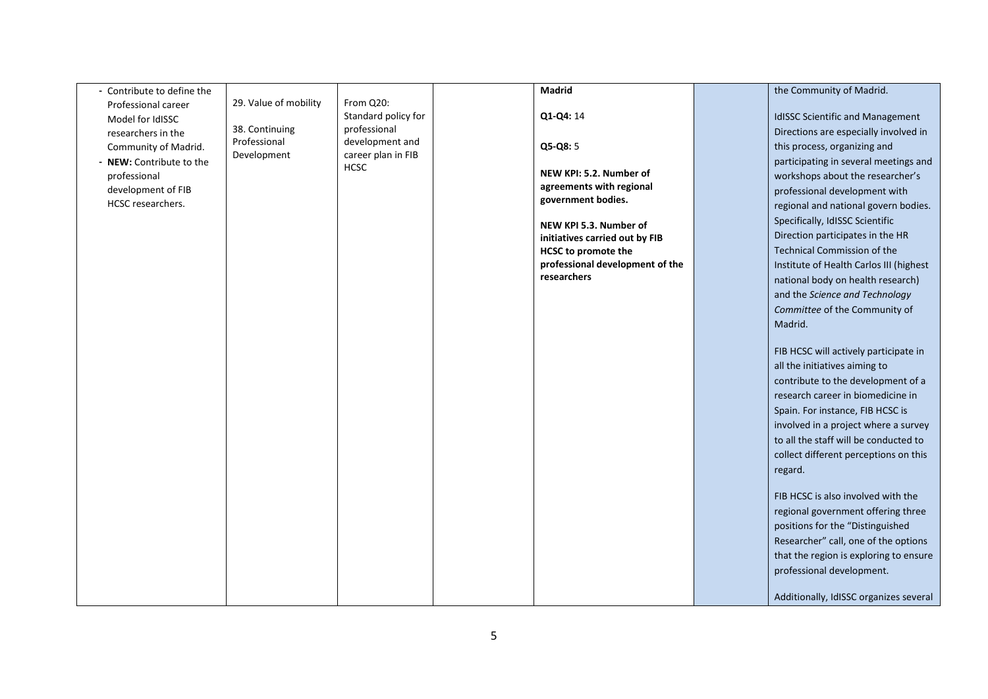| - Contribute to define the |                             |                                       | Madrid                          | the Community of Madrid.                |
|----------------------------|-----------------------------|---------------------------------------|---------------------------------|-----------------------------------------|
| Professional career        | 29. Value of mobility       | From Q20:                             |                                 |                                         |
| Model for IdISSC           |                             | Standard policy for                   | Q1-Q4: 14                       | <b>IdISSC Scientific and Management</b> |
| researchers in the         | 38. Continuing              | professional                          |                                 | Directions are especially involved in   |
| Community of Madrid.       | Professional<br>Development | development and<br>career plan in FIB | Q5-Q8: 5                        | this process, organizing and            |
| - NEW: Contribute to the   |                             | <b>HCSC</b>                           |                                 | participating in several meetings and   |
| professional               |                             |                                       | NEW KPI: 5.2. Number of         | workshops about the researcher's        |
| development of FIB         |                             |                                       | agreements with regional        | professional development with           |
| HCSC researchers.          |                             |                                       | government bodies.              | regional and national govern bodies.    |
|                            |                             |                                       | NEW KPI 5.3. Number of          | Specifically, IdISSC Scientific         |
|                            |                             |                                       | initiatives carried out by FIB  | Direction participates in the HR        |
|                            |                             |                                       | <b>HCSC</b> to promote the      | <b>Technical Commission of the</b>      |
|                            |                             |                                       | professional development of the | Institute of Health Carlos III (highest |
|                            |                             |                                       | researchers                     | national body on health research)       |
|                            |                             |                                       |                                 | and the Science and Technology          |
|                            |                             |                                       |                                 | Committee of the Community of           |
|                            |                             |                                       |                                 | Madrid.                                 |
|                            |                             |                                       |                                 |                                         |
|                            |                             |                                       |                                 | FIB HCSC will actively participate in   |
|                            |                             |                                       |                                 | all the initiatives aiming to           |
|                            |                             |                                       |                                 | contribute to the development of a      |
|                            |                             |                                       |                                 | research career in biomedicine in       |
|                            |                             |                                       |                                 | Spain. For instance, FIB HCSC is        |
|                            |                             |                                       |                                 | involved in a project where a survey    |
|                            |                             |                                       |                                 | to all the staff will be conducted to   |
|                            |                             |                                       |                                 | collect different perceptions on this   |
|                            |                             |                                       |                                 | regard.                                 |
|                            |                             |                                       |                                 |                                         |
|                            |                             |                                       |                                 | FIB HCSC is also involved with the      |
|                            |                             |                                       |                                 | regional government offering three      |
|                            |                             |                                       |                                 | positions for the "Distinguished        |
|                            |                             |                                       |                                 | Researcher" call, one of the options    |
|                            |                             |                                       |                                 | that the region is exploring to ensure  |
|                            |                             |                                       |                                 | professional development.               |
|                            |                             |                                       |                                 |                                         |
|                            |                             |                                       |                                 | Additionally, IdISSC organizes several  |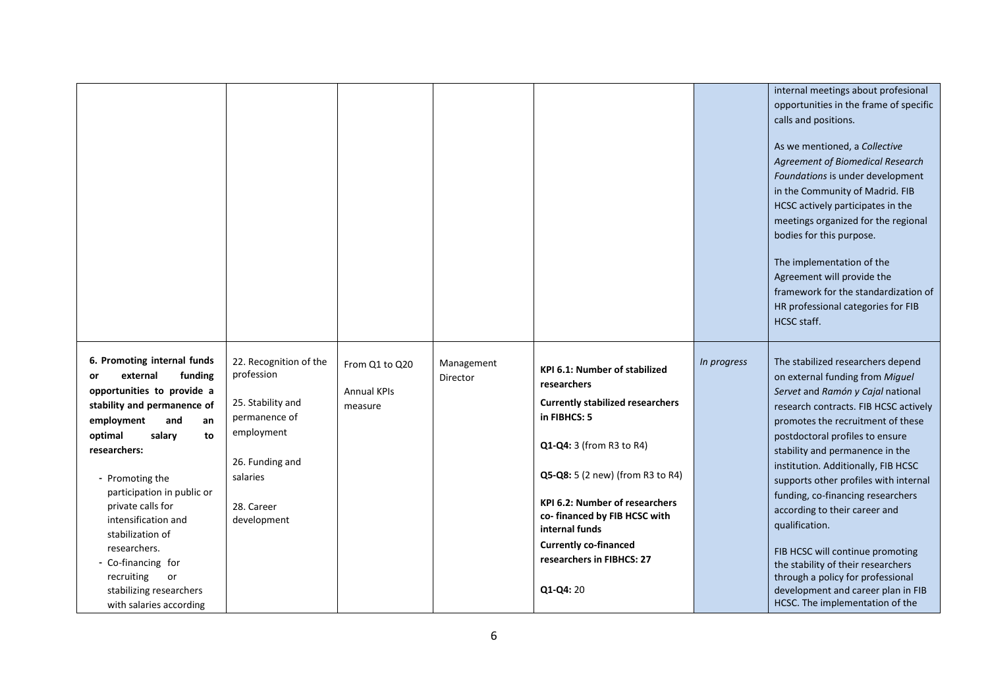|                                                                                                                                                                                                                                                                                                                                                                                                                              |                                                                                                                                                      |                                                 |                        |                                                                                                                                                                                                                                                                                                                                              |             | internal meetings about profesional<br>opportunities in the frame of specific<br>calls and positions.<br>As we mentioned, a Collective<br><b>Agreement of Biomedical Research</b><br>Foundations is under development<br>in the Community of Madrid. FIB<br>HCSC actively participates in the<br>meetings organized for the regional<br>bodies for this purpose.<br>The implementation of the<br>Agreement will provide the<br>framework for the standardization of<br>HR professional categories for FIB<br>HCSC staff.                                                                                                      |
|------------------------------------------------------------------------------------------------------------------------------------------------------------------------------------------------------------------------------------------------------------------------------------------------------------------------------------------------------------------------------------------------------------------------------|------------------------------------------------------------------------------------------------------------------------------------------------------|-------------------------------------------------|------------------------|----------------------------------------------------------------------------------------------------------------------------------------------------------------------------------------------------------------------------------------------------------------------------------------------------------------------------------------------|-------------|-------------------------------------------------------------------------------------------------------------------------------------------------------------------------------------------------------------------------------------------------------------------------------------------------------------------------------------------------------------------------------------------------------------------------------------------------------------------------------------------------------------------------------------------------------------------------------------------------------------------------------|
| 6. Promoting internal funds<br>external<br>funding<br>or<br>opportunities to provide a<br>stability and permanence of<br>employment<br>and<br>an<br>optimal<br>salary<br>to<br>researchers:<br>- Promoting the<br>participation in public or<br>private calls for<br>intensification and<br>stabilization of<br>researchers.<br>- Co-financing for<br>recruiting<br>or<br>stabilizing researchers<br>with salaries according | 22. Recognition of the<br>profession<br>25. Stability and<br>permanence of<br>employment<br>26. Funding and<br>salaries<br>28. Career<br>development | From Q1 to Q20<br><b>Annual KPIs</b><br>measure | Management<br>Director | KPI 6.1: Number of stabilized<br>researchers<br><b>Currently stabilized researchers</b><br>in FIBHCS: 5<br>Q1-Q4: 3 (from R3 to R4)<br>Q5-Q8: 5 (2 new) (from R3 to R4)<br><b>KPI 6.2: Number of researchers</b><br>co-financed by FIB HCSC with<br>internal funds<br><b>Currently co-financed</b><br>researchers in FIBHCS: 27<br>Q1-Q4: 20 | In progress | The stabilized researchers depend<br>on external funding from Miguel<br>Servet and Ramón y Cajal national<br>research contracts. FIB HCSC actively<br>promotes the recruitment of these<br>postdoctoral profiles to ensure<br>stability and permanence in the<br>institution. Additionally, FIB HCSC<br>supports other profiles with internal<br>funding, co-financing researchers<br>according to their career and<br>qualification.<br>FIB HCSC will continue promoting<br>the stability of their researchers<br>through a policy for professional<br>development and career plan in FIB<br>HCSC. The implementation of the |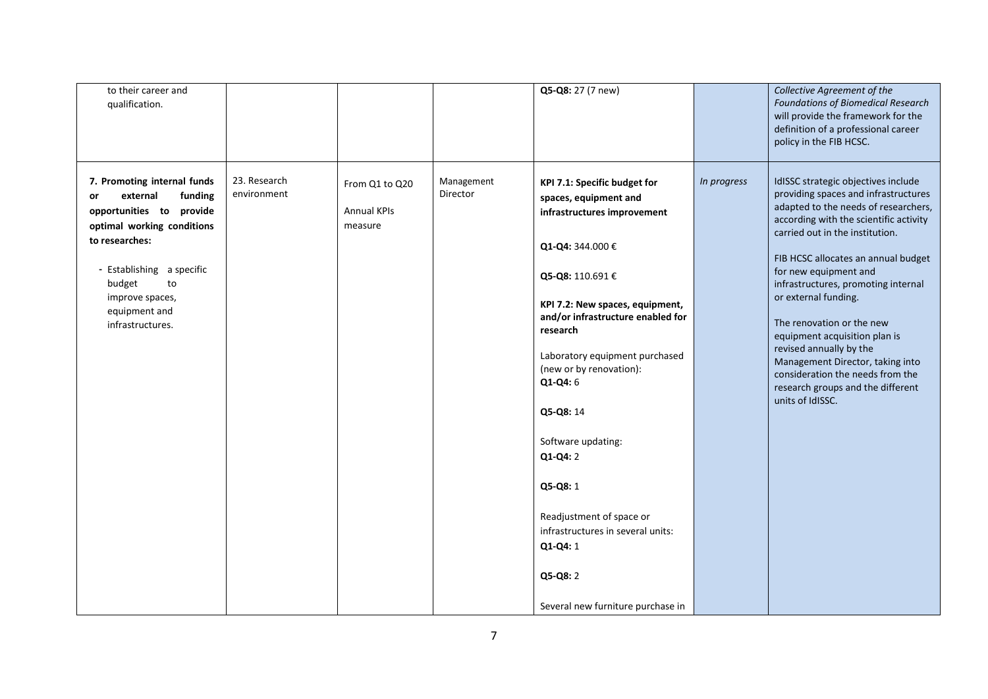| to their career and<br>qualification.                                                                                                                                                                                                     |                             |                                                 |                        | Q5-Q8: 27 (7 new)                                                                                                                                                                                                                                                                                                                                                                                                                                                                   |             | Collective Agreement of the<br><b>Foundations of Biomedical Research</b><br>will provide the framework for the<br>definition of a professional career<br>policy in the FIB HCSC.                                                                                                                                                                                                                                                                                                                                                                          |
|-------------------------------------------------------------------------------------------------------------------------------------------------------------------------------------------------------------------------------------------|-----------------------------|-------------------------------------------------|------------------------|-------------------------------------------------------------------------------------------------------------------------------------------------------------------------------------------------------------------------------------------------------------------------------------------------------------------------------------------------------------------------------------------------------------------------------------------------------------------------------------|-------------|-----------------------------------------------------------------------------------------------------------------------------------------------------------------------------------------------------------------------------------------------------------------------------------------------------------------------------------------------------------------------------------------------------------------------------------------------------------------------------------------------------------------------------------------------------------|
| 7. Promoting internal funds<br>funding<br>external<br>or<br>opportunities to provide<br>optimal working conditions<br>to researches:<br>- Establishing a specific<br>budget<br>to<br>improve spaces,<br>equipment and<br>infrastructures. | 23. Research<br>environment | From Q1 to Q20<br><b>Annual KPIs</b><br>measure | Management<br>Director | KPI 7.1: Specific budget for<br>spaces, equipment and<br>infrastructures improvement<br>Q1-Q4: 344.000 €<br>Q5-Q8: 110.691 €<br>KPI 7.2: New spaces, equipment,<br>and/or infrastructure enabled for<br>research<br>Laboratory equipment purchased<br>(new or by renovation):<br>Q1-Q4: 6<br>Q5-Q8: 14<br>Software updating:<br>$Q1-Q4:2$<br>Q5-Q8: 1<br>Readjustment of space or<br>infrastructures in several units:<br>Q1-Q4: 1<br>Q5-Q8: 2<br>Several new furniture purchase in | In progress | IdISSC strategic objectives include<br>providing spaces and infrastructures<br>adapted to the needs of researchers,<br>according with the scientific activity<br>carried out in the institution.<br>FIB HCSC allocates an annual budget<br>for new equipment and<br>infrastructures, promoting internal<br>or external funding.<br>The renovation or the new<br>equipment acquisition plan is<br>revised annually by the<br>Management Director, taking into<br>consideration the needs from the<br>research groups and the different<br>units of IdISSC. |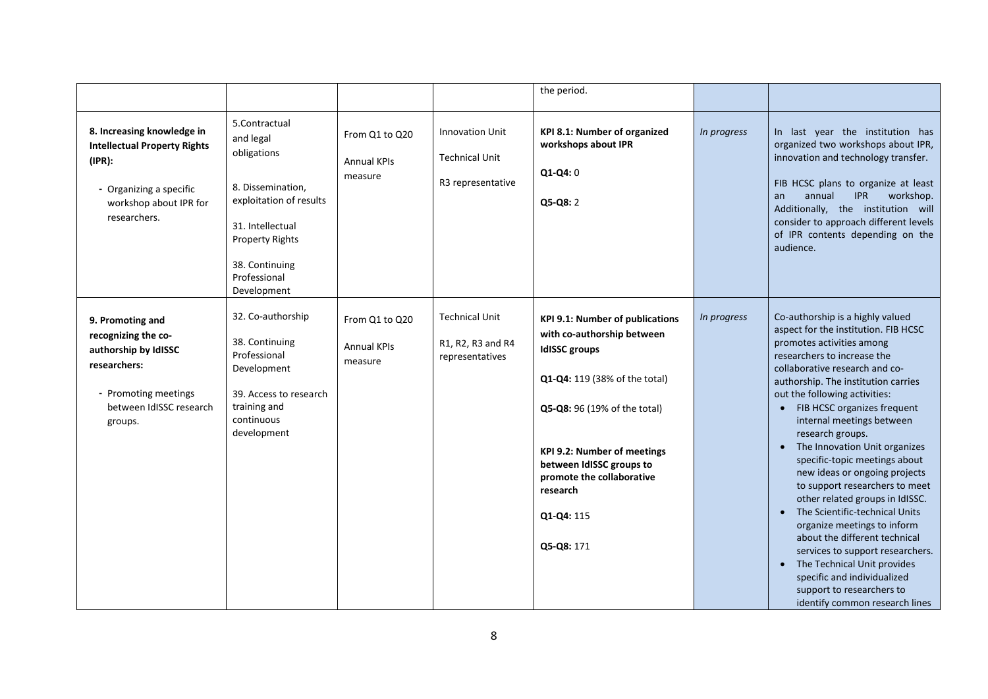|                                                                                                                                                  |                                                                                                                                                                                          |                                                 |                                                                      | the period.                                                                                                                                                                                                                                                                                          |             |                                                                                                                                                                                                                                                                                                                                                                                                                                                                                                                                                                                                                                                                                                                                                                               |
|--------------------------------------------------------------------------------------------------------------------------------------------------|------------------------------------------------------------------------------------------------------------------------------------------------------------------------------------------|-------------------------------------------------|----------------------------------------------------------------------|------------------------------------------------------------------------------------------------------------------------------------------------------------------------------------------------------------------------------------------------------------------------------------------------------|-------------|-------------------------------------------------------------------------------------------------------------------------------------------------------------------------------------------------------------------------------------------------------------------------------------------------------------------------------------------------------------------------------------------------------------------------------------------------------------------------------------------------------------------------------------------------------------------------------------------------------------------------------------------------------------------------------------------------------------------------------------------------------------------------------|
| 8. Increasing knowledge in<br><b>Intellectual Property Rights</b><br>(IPR):<br>- Organizing a specific<br>workshop about IPR for<br>researchers. | 5.Contractual<br>and legal<br>obligations<br>8. Dissemination,<br>exploitation of results<br>31. Intellectual<br><b>Property Rights</b><br>38. Continuing<br>Professional<br>Development | From Q1 to Q20<br><b>Annual KPIs</b><br>measure | <b>Innovation Unit</b><br><b>Technical Unit</b><br>R3 representative | KPI 8.1: Number of organized<br>workshops about IPR<br>$Q1-Q4:0$<br>Q5-Q8: 2                                                                                                                                                                                                                         | In progress | In last year the institution has<br>organized two workshops about IPR,<br>innovation and technology transfer.<br>FIB HCSC plans to organize at least<br><b>IPR</b><br>annual<br>workshop.<br>an<br>Additionally, the institution will<br>consider to approach different levels<br>of IPR contents depending on the<br>audience.                                                                                                                                                                                                                                                                                                                                                                                                                                               |
| 9. Promoting and<br>recognizing the co-<br>authorship by IdISSC<br>researchers:<br>- Promoting meetings<br>between IdISSC research<br>groups.    | 32. Co-authorship<br>38. Continuing<br>Professional<br>Development<br>39. Access to research<br>training and<br>continuous<br>development                                                | From Q1 to Q20<br><b>Annual KPIs</b><br>measure | <b>Technical Unit</b><br>R1, R2, R3 and R4<br>representatives        | <b>KPI 9.1: Number of publications</b><br>with co-authorship between<br><b>IdISSC</b> groups<br>Q1-Q4: 119 (38% of the total)<br>Q5-Q8: 96 (19% of the total)<br><b>KPI 9.2: Number of meetings</b><br>between IdISSC groups to<br>promote the collaborative<br>research<br>Q1-Q4: 115<br>Q5-Q8: 171 | In progress | Co-authorship is a highly valued<br>aspect for the institution. FIB HCSC<br>promotes activities among<br>researchers to increase the<br>collaborative research and co-<br>authorship. The institution carries<br>out the following activities:<br>• FIB HCSC organizes frequent<br>internal meetings between<br>research groups.<br>The Innovation Unit organizes<br>specific-topic meetings about<br>new ideas or ongoing projects<br>to support researchers to meet<br>other related groups in IdISSC.<br>• The Scientific-technical Units<br>organize meetings to inform<br>about the different technical<br>services to support researchers.<br>The Technical Unit provides<br>specific and individualized<br>support to researchers to<br>identify common research lines |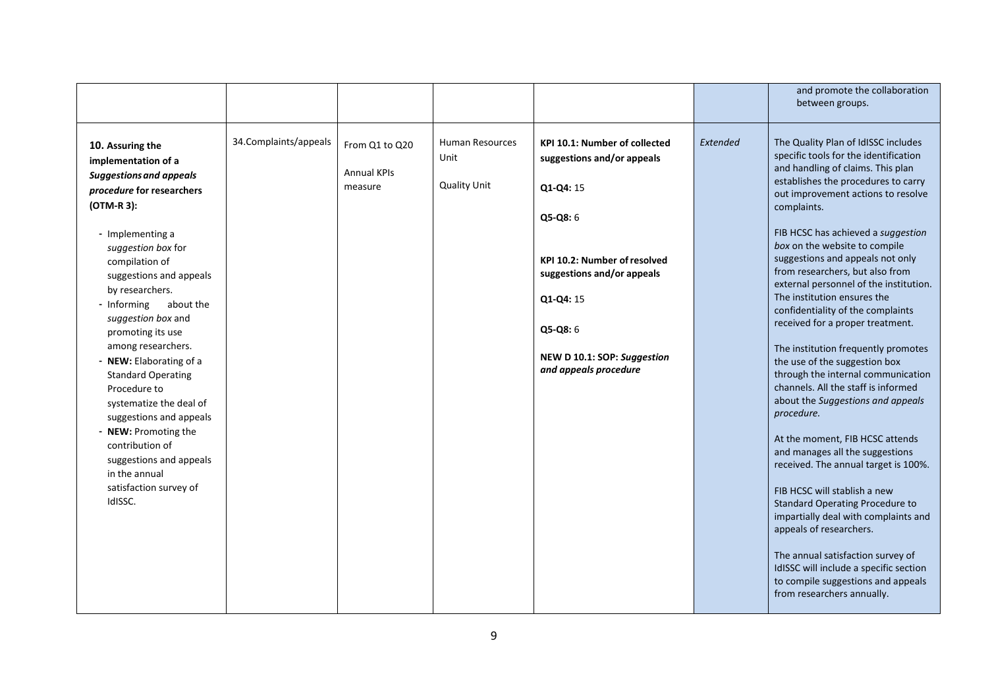|                                                                                                                                                                                                                                                                                                                                                                                                                                                                                                                                                                                       |                       |                                                 |                                                |                                                                                                                                                                                                                                                    |          | and promote the collaboration<br>between groups.                                                                                                                                                                                                                                                                                                                                                                                                                                                                                                                                                                                                                                                                                                                                                                                                                                                                                                                                                                                                                                                                                    |
|---------------------------------------------------------------------------------------------------------------------------------------------------------------------------------------------------------------------------------------------------------------------------------------------------------------------------------------------------------------------------------------------------------------------------------------------------------------------------------------------------------------------------------------------------------------------------------------|-----------------------|-------------------------------------------------|------------------------------------------------|----------------------------------------------------------------------------------------------------------------------------------------------------------------------------------------------------------------------------------------------------|----------|-------------------------------------------------------------------------------------------------------------------------------------------------------------------------------------------------------------------------------------------------------------------------------------------------------------------------------------------------------------------------------------------------------------------------------------------------------------------------------------------------------------------------------------------------------------------------------------------------------------------------------------------------------------------------------------------------------------------------------------------------------------------------------------------------------------------------------------------------------------------------------------------------------------------------------------------------------------------------------------------------------------------------------------------------------------------------------------------------------------------------------------|
| 10. Assuring the<br>implementation of a<br><b>Suggestions and appeals</b><br>procedure for researchers<br>(OTM-R 3):<br>- Implementing a<br>suggestion box for<br>compilation of<br>suggestions and appeals<br>by researchers.<br>- Informing<br>about the<br>suggestion box and<br>promoting its use<br>among researchers.<br>- NEW: Elaborating of a<br><b>Standard Operating</b><br>Procedure to<br>systematize the deal of<br>suggestions and appeals<br>- NEW: Promoting the<br>contribution of<br>suggestions and appeals<br>in the annual<br>satisfaction survey of<br>IdISSC. | 34.Complaints/appeals | From Q1 to Q20<br><b>Annual KPIs</b><br>measure | Human Resources<br>Unit<br><b>Quality Unit</b> | <b>KPI 10.1: Number of collected</b><br>suggestions and/or appeals<br>Q1-Q4: 15<br>$Q5-Q8:6$<br><b>KPI 10.2: Number of resolved</b><br>suggestions and/or appeals<br>Q1-Q4: 15<br>Q5-Q8: 6<br>NEW D 10.1: SOP: Suggestion<br>and appeals procedure | Extended | The Quality Plan of IdISSC includes<br>specific tools for the identification<br>and handling of claims. This plan<br>establishes the procedures to carry<br>out improvement actions to resolve<br>complaints.<br>FIB HCSC has achieved a suggestion<br>box on the website to compile<br>suggestions and appeals not only<br>from researchers, but also from<br>external personnel of the institution.<br>The institution ensures the<br>confidentiality of the complaints<br>received for a proper treatment.<br>The institution frequently promotes<br>the use of the suggestion box<br>through the internal communication<br>channels. All the staff is informed<br>about the Suggestions and appeals<br>procedure.<br>At the moment, FIB HCSC attends<br>and manages all the suggestions<br>received. The annual target is 100%.<br>FIB HCSC will stablish a new<br><b>Standard Operating Procedure to</b><br>impartially deal with complaints and<br>appeals of researchers.<br>The annual satisfaction survey of<br>IdISSC will include a specific section<br>to compile suggestions and appeals<br>from researchers annually. |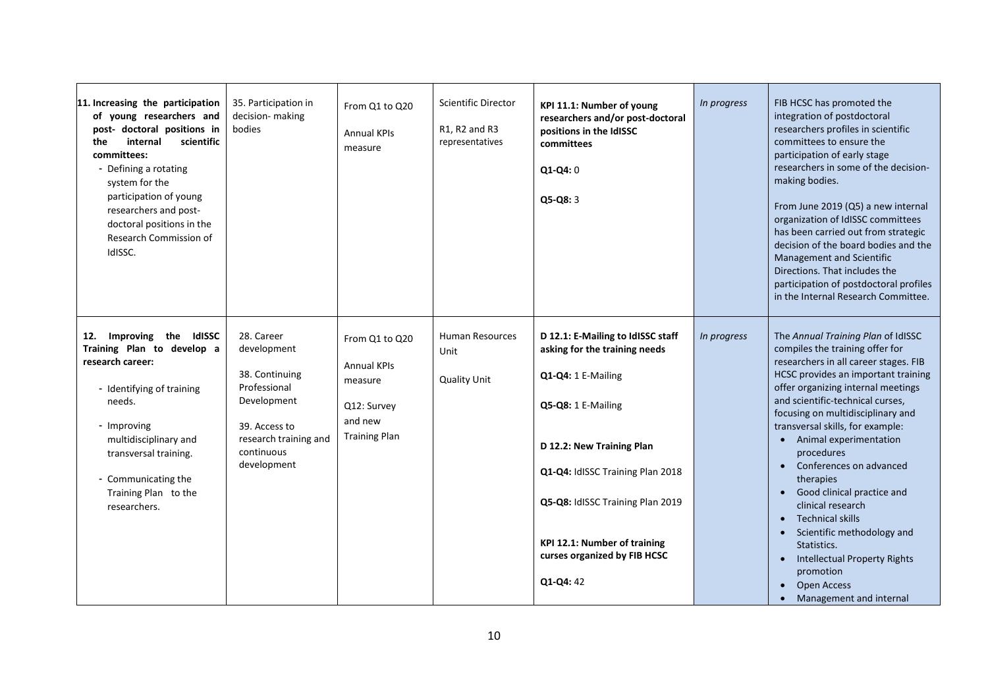| 11. Increasing the participation<br>of young researchers and<br>post- doctoral positions in<br>scientific<br>internal<br>the<br>committees:<br>- Defining a rotating<br>system for the<br>participation of young<br>researchers and post-<br>doctoral positions in the<br>Research Commission of<br>IdISSC. | 35. Participation in<br>decision- making<br>bodies                                                                                                | From Q1 to Q20<br><b>Annual KPIs</b><br>measure                                                   | <b>Scientific Director</b><br>R1, R2 and R3<br>representatives | KPI 11.1: Number of young<br>researchers and/or post-doctoral<br>positions in the IdISSC<br>committees<br>$Q1-Q4:0$<br>$Q5-Q8:3$                                                                                                                                                                 | In progress | FIB HCSC has promoted the<br>integration of postdoctoral<br>researchers profiles in scientific<br>committees to ensure the<br>participation of early stage<br>researchers in some of the decision-<br>making bodies.<br>From June 2019 (Q5) a new internal<br>organization of IdISSC committees<br>has been carried out from strategic<br>decision of the board bodies and the<br><b>Management and Scientific</b><br>Directions. That includes the<br>participation of postdoctoral profiles<br>in the Internal Research Committee.                                                                                                                                    |
|-------------------------------------------------------------------------------------------------------------------------------------------------------------------------------------------------------------------------------------------------------------------------------------------------------------|---------------------------------------------------------------------------------------------------------------------------------------------------|---------------------------------------------------------------------------------------------------|----------------------------------------------------------------|--------------------------------------------------------------------------------------------------------------------------------------------------------------------------------------------------------------------------------------------------------------------------------------------------|-------------|-------------------------------------------------------------------------------------------------------------------------------------------------------------------------------------------------------------------------------------------------------------------------------------------------------------------------------------------------------------------------------------------------------------------------------------------------------------------------------------------------------------------------------------------------------------------------------------------------------------------------------------------------------------------------|
| Improving the IdISSC<br>12.<br>Training Plan to develop a<br>research career:<br>- Identifying of training<br>needs.<br>- Improving<br>multidisciplinary and<br>transversal training.<br>- Communicating the<br>Training Plan to the<br>researchers.                                                        | 28. Career<br>development<br>38. Continuing<br>Professional<br>Development<br>39. Access to<br>research training and<br>continuous<br>development | From Q1 to Q20<br><b>Annual KPIs</b><br>measure<br>Q12: Survey<br>and new<br><b>Training Plan</b> | <b>Human Resources</b><br>Unit<br><b>Quality Unit</b>          | D 12.1: E-Mailing to IdISSC staff<br>asking for the training needs<br>Q1-Q4: 1 E-Mailing<br>Q5-Q8: 1 E-Mailing<br>D 12.2: New Training Plan<br>Q1-Q4: IdISSC Training Plan 2018<br>Q5-Q8: IdISSC Training Plan 2019<br>KPI 12.1: Number of training<br>curses organized by FIB HCSC<br>Q1-Q4: 42 | In progress | The Annual Training Plan of IdISSC<br>compiles the training offer for<br>researchers in all career stages. FIB<br>HCSC provides an important training<br>offer organizing internal meetings<br>and scientific-technical curses,<br>focusing on multidisciplinary and<br>transversal skills, for example:<br>• Animal experimentation<br>procedures<br>Conferences on advanced<br>$\bullet$<br>therapies<br>Good clinical practice and<br>clinical research<br><b>Technical skills</b><br>$\bullet$<br>Scientific methodology and<br>Statistics.<br><b>Intellectual Property Rights</b><br>promotion<br>Open Access<br>$\bullet$<br>Management and internal<br>$\bullet$ |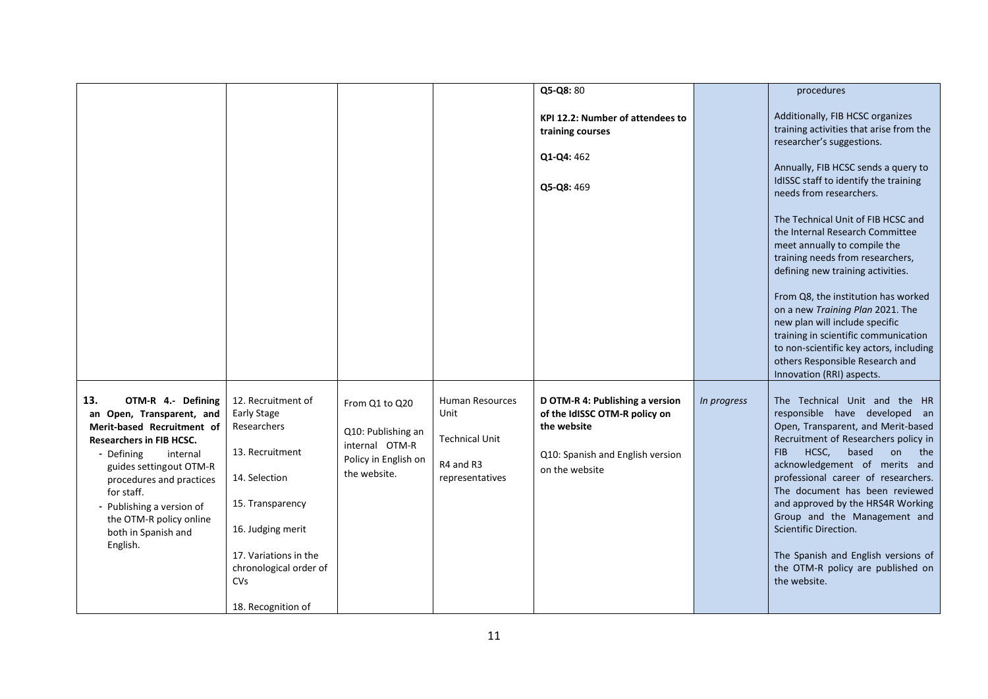|                                                                                                                                                                                                                                                                                                                   |                                                                                                                                                                                                                             |                                                                                                |                                                                                         | Q5-Q8: 80                                                                                                                             |             | procedures                                                                                                                                                                                                                                                                                                                                                                                                                                                                                    |
|-------------------------------------------------------------------------------------------------------------------------------------------------------------------------------------------------------------------------------------------------------------------------------------------------------------------|-----------------------------------------------------------------------------------------------------------------------------------------------------------------------------------------------------------------------------|------------------------------------------------------------------------------------------------|-----------------------------------------------------------------------------------------|---------------------------------------------------------------------------------------------------------------------------------------|-------------|-----------------------------------------------------------------------------------------------------------------------------------------------------------------------------------------------------------------------------------------------------------------------------------------------------------------------------------------------------------------------------------------------------------------------------------------------------------------------------------------------|
|                                                                                                                                                                                                                                                                                                                   |                                                                                                                                                                                                                             |                                                                                                |                                                                                         |                                                                                                                                       |             |                                                                                                                                                                                                                                                                                                                                                                                                                                                                                               |
|                                                                                                                                                                                                                                                                                                                   |                                                                                                                                                                                                                             |                                                                                                |                                                                                         | KPI 12.2: Number of attendees to<br>training courses<br>Q1-Q4: 462                                                                    |             | Additionally, FIB HCSC organizes<br>training activities that arise from the<br>researcher's suggestions.                                                                                                                                                                                                                                                                                                                                                                                      |
|                                                                                                                                                                                                                                                                                                                   |                                                                                                                                                                                                                             |                                                                                                |                                                                                         | Q5-Q8: 469                                                                                                                            |             | Annually, FIB HCSC sends a query to<br>IdISSC staff to identify the training<br>needs from researchers.                                                                                                                                                                                                                                                                                                                                                                                       |
|                                                                                                                                                                                                                                                                                                                   |                                                                                                                                                                                                                             |                                                                                                |                                                                                         |                                                                                                                                       |             | The Technical Unit of FIB HCSC and<br>the Internal Research Committee<br>meet annually to compile the<br>training needs from researchers,<br>defining new training activities.                                                                                                                                                                                                                                                                                                                |
|                                                                                                                                                                                                                                                                                                                   |                                                                                                                                                                                                                             |                                                                                                |                                                                                         |                                                                                                                                       |             | From Q8, the institution has worked<br>on a new Training Plan 2021. The<br>new plan will include specific<br>training in scientific communication<br>to non-scientific key actors, including<br>others Responsible Research and<br>Innovation (RRI) aspects.                                                                                                                                                                                                                                  |
| 13.<br>OTM-R 4.- Defining<br>an Open, Transparent, and<br>Merit-based Recruitment of<br><b>Researchers in FIB HCSC.</b><br>- Defining<br>internal<br>guides settingout OTM-R<br>procedures and practices<br>for staff.<br>- Publishing a version of<br>the OTM-R policy online<br>both in Spanish and<br>English. | 12. Recruitment of<br><b>Early Stage</b><br>Researchers<br>13. Recruitment<br>14. Selection<br>15. Transparency<br>16. Judging merit<br>17. Variations in the<br>chronological order of<br><b>CVs</b><br>18. Recognition of | From Q1 to Q20<br>Q10: Publishing an<br>internal OTM-R<br>Policy in English on<br>the website. | <b>Human Resources</b><br>Unit<br><b>Technical Unit</b><br>R4 and R3<br>representatives | D OTM-R 4: Publishing a version<br>of the IdISSC OTM-R policy on<br>the website<br>Q10: Spanish and English version<br>on the website | In progress | The Technical Unit and the HR<br>responsible have developed an<br>Open, Transparent, and Merit-based<br>Recruitment of Researchers policy in<br>HCSC,<br>based<br><b>FIB</b><br>on<br>the<br>acknowledgement of merits and<br>professional career of researchers.<br>The document has been reviewed<br>and approved by the HRS4R Working<br>Group and the Management and<br>Scientific Direction.<br>The Spanish and English versions of<br>the OTM-R policy are published on<br>the website. |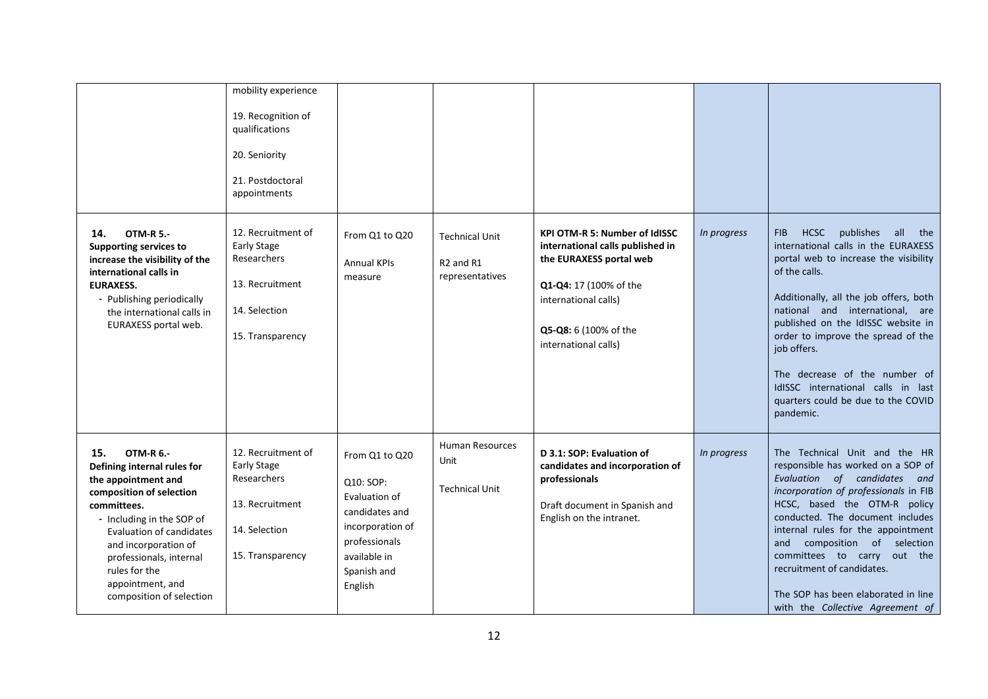|                                                                                                                                                                                                                                                                                                       | mobility experience<br>19. Recognition of<br>qualifications<br>20. Seniority<br>21. Postdoctoral<br>appointments |                                                                                                                                               |                                                                               |                                                                                                                                                                                                        |             |                                                                                                                                                                                                                                                                                                                                                                                                                                                   |
|-------------------------------------------------------------------------------------------------------------------------------------------------------------------------------------------------------------------------------------------------------------------------------------------------------|------------------------------------------------------------------------------------------------------------------|-----------------------------------------------------------------------------------------------------------------------------------------------|-------------------------------------------------------------------------------|--------------------------------------------------------------------------------------------------------------------------------------------------------------------------------------------------------|-------------|---------------------------------------------------------------------------------------------------------------------------------------------------------------------------------------------------------------------------------------------------------------------------------------------------------------------------------------------------------------------------------------------------------------------------------------------------|
| <b>OTM-R 5.-</b><br>14.<br><b>Supporting services to</b><br>increase the visibility of the<br>international calls in<br><b>EURAXESS.</b><br>- Publishing periodically<br>the international calls in<br>EURAXESS portal web.                                                                           | 12. Recruitment of<br><b>Early Stage</b><br>Researchers<br>13. Recruitment<br>14. Selection<br>15. Transparency  | From Q1 to Q20<br><b>Annual KPIs</b><br>measure                                                                                               | <b>Technical Unit</b><br>R <sub>2</sub> and R <sub>1</sub><br>representatives | <b>KPI OTM-R 5: Number of IdISSC</b><br>international calls published in<br>the EURAXESS portal web<br>Q1-Q4: 17 (100% of the<br>international calls)<br>Q5-Q8: 6 (100% of the<br>international calls) | In progress | <b>HCSC</b><br>publishes<br>FIB.<br>all<br>the<br>international calls in the EURAXESS<br>portal web to increase the visibility<br>of the calls.<br>Additionally, all the job offers, both<br>national and international, are<br>published on the IdISSC website in<br>order to improve the spread of the<br>job offers.<br>The decrease of the number of<br>IdISSC international calls in last<br>quarters could be due to the COVID<br>pandemic. |
| 15.<br><b>OTM-R 6.-</b><br>Defining internal rules for<br>the appointment and<br>composition of selection<br>committees.<br>- Including in the SOP of<br>Evaluation of candidates<br>and incorporation of<br>professionals, internal<br>rules for the<br>appointment, and<br>composition of selection | 12. Recruitment of<br><b>Early Stage</b><br>Researchers<br>13. Recruitment<br>14. Selection<br>15. Transparency  | From Q1 to Q20<br>Q10: SOP:<br>Evaluation of<br>candidates and<br>incorporation of<br>professionals<br>available in<br>Spanish and<br>English | <b>Human Resources</b><br>Unit<br><b>Technical Unit</b>                       | D 3.1: SOP: Evaluation of<br>candidates and incorporation of<br>professionals<br>Draft document in Spanish and<br>English on the intranet.                                                             | In progress | The Technical Unit and the HR<br>responsible has worked on a SOP of<br>Evaluation of candidates and<br>incorporation of professionals in FIB<br>HCSC, based the OTM-R policy<br>conducted. The document includes<br>internal rules for the appointment<br>composition of selection<br>and<br>committees to carry out the<br>recruitment of candidates.<br>The SOP has been elaborated in line<br>with the Collective Agreement of                 |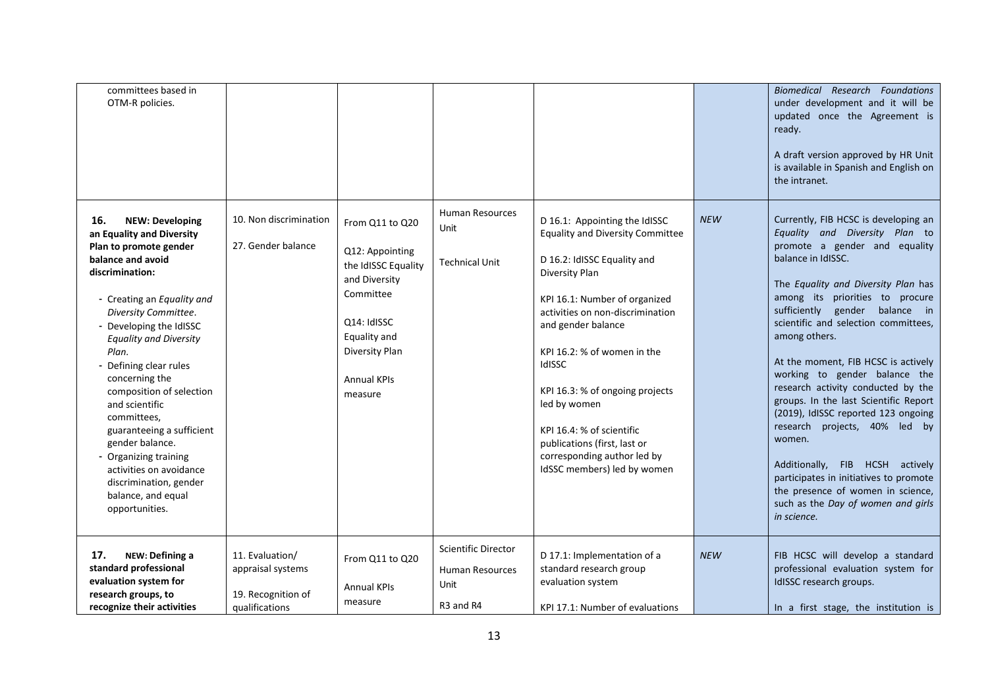| committees based in<br>OTM-R policies.                                                                                                                                                                                                                                                                                                                                                                                                                                                                                                 |                                                                              |                                                                                                                                                                           |                                                                                            |                                                                                                                                                                                                                                                                                                                                                                                                                                             |            | Biomedical Research Foundations<br>under development and it will be<br>updated once the Agreement is<br>ready.<br>A draft version approved by HR Unit<br>is available in Spanish and English on<br>the intranet.                                                                                                                                                                                                                                                                                                                                                                                                                                                                                                      |
|----------------------------------------------------------------------------------------------------------------------------------------------------------------------------------------------------------------------------------------------------------------------------------------------------------------------------------------------------------------------------------------------------------------------------------------------------------------------------------------------------------------------------------------|------------------------------------------------------------------------------|---------------------------------------------------------------------------------------------------------------------------------------------------------------------------|--------------------------------------------------------------------------------------------|---------------------------------------------------------------------------------------------------------------------------------------------------------------------------------------------------------------------------------------------------------------------------------------------------------------------------------------------------------------------------------------------------------------------------------------------|------------|-----------------------------------------------------------------------------------------------------------------------------------------------------------------------------------------------------------------------------------------------------------------------------------------------------------------------------------------------------------------------------------------------------------------------------------------------------------------------------------------------------------------------------------------------------------------------------------------------------------------------------------------------------------------------------------------------------------------------|
| 16.<br><b>NEW: Developing</b><br>an Equality and Diversity<br>Plan to promote gender<br>balance and avoid<br>discrimination:<br>- Creating an Equality and<br>Diversity Committee.<br>- Developing the IdISSC<br><b>Equality and Diversity</b><br>Plan.<br>- Defining clear rules<br>concerning the<br>composition of selection<br>and scientific<br>committees,<br>guaranteeing a sufficient<br>gender balance.<br>- Organizing training<br>activities on avoidance<br>discrimination, gender<br>balance, and equal<br>opportunities. | 10. Non discrimination<br>27. Gender balance                                 | From Q11 to Q20<br>Q12: Appointing<br>the IdISSC Equality<br>and Diversity<br>Committee<br>O14: IdISSC<br>Equality and<br>Diversity Plan<br><b>Annual KPIs</b><br>measure | Human Resources<br>Unit<br><b>Technical Unit</b>                                           | D 16.1: Appointing the IdISSC<br><b>Equality and Diversity Committee</b><br>D 16.2: IdISSC Equality and<br>Diversity Plan<br>KPI 16.1: Number of organized<br>activities on non-discrimination<br>and gender balance<br>KPI 16.2: % of women in the<br>IdISSC<br>KPI 16.3: % of ongoing projects<br>led by women<br>KPI 16.4: % of scientific<br>publications (first, last or<br>corresponding author led by<br>IdSSC members) led by women | <b>NEW</b> | Currently, FIB HCSC is developing an<br>Equality and Diversity Plan to<br>promote a gender and equality<br>balance in IdISSC.<br>The Equality and Diversity Plan has<br>among its priorities to procure<br>sufficiently gender<br>balance in<br>scientific and selection committees,<br>among others.<br>At the moment, FIB HCSC is actively<br>working to gender balance the<br>research activity conducted by the<br>groups. In the last Scientific Report<br>(2019), IdISSC reported 123 ongoing<br>research projects, 40% led by<br>women.<br>Additionally, FIB HCSH actively<br>participates in initiatives to promote<br>the presence of women in science,<br>such as the Day of women and girls<br>in science. |
| 17.<br>NEW: Defining a<br>standard professional<br>evaluation system for<br>research groups, to<br>recognize their activities                                                                                                                                                                                                                                                                                                                                                                                                          | 11. Evaluation/<br>appraisal systems<br>19. Recognition of<br>qualifications | From Q11 to Q20<br><b>Annual KPIs</b><br>measure                                                                                                                          | <b>Scientific Director</b><br>Human Resources<br>Unit<br>R <sub>3</sub> and R <sub>4</sub> | D 17.1: Implementation of a<br>standard research group<br>evaluation system<br>KPI 17.1: Number of evaluations                                                                                                                                                                                                                                                                                                                              | <b>NEW</b> | FIB HCSC will develop a standard<br>professional evaluation system for<br>IdISSC research groups.<br>In a first stage, the institution is                                                                                                                                                                                                                                                                                                                                                                                                                                                                                                                                                                             |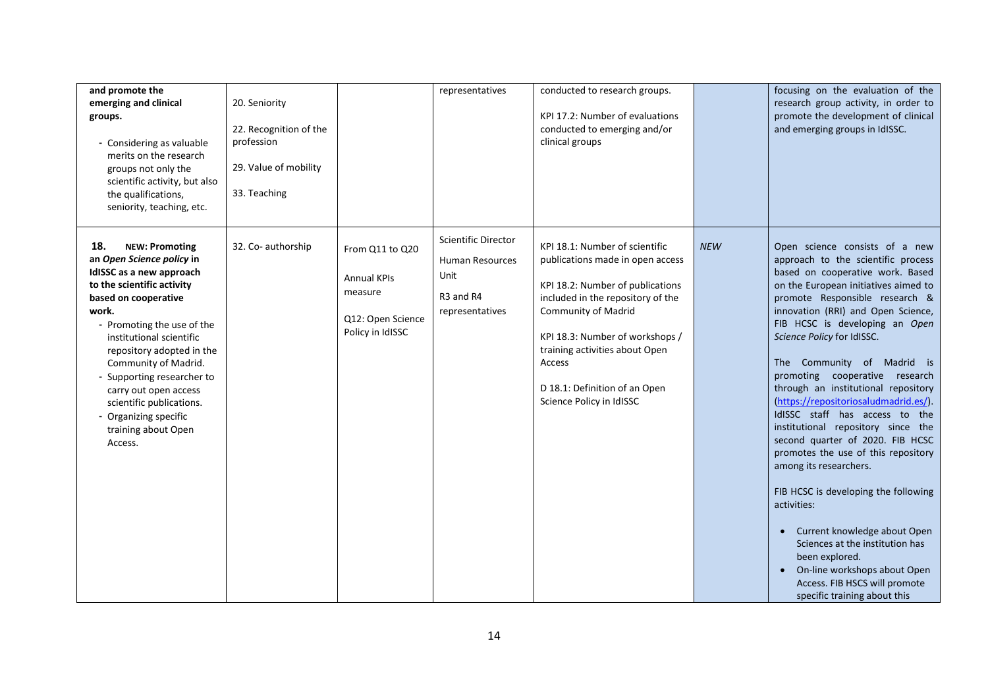| and promote the<br>emerging and clinical<br>groups.<br>Considering as valuable<br>merits on the research<br>groups not only the<br>scientific activity, but also<br>the qualifications,<br>seniority, teaching, etc.                                                                                                                                                                                              | 20. Seniority<br>22. Recognition of the<br>profession<br>29. Value of mobility<br>33. Teaching |                                                                                           | representatives                                                                                                      | conducted to research groups.<br>KPI 17.2: Number of evaluations<br>conducted to emerging and/or<br>clinical groups                                                                                                                                                                                            |            | focusing on the evaluation of the<br>research group activity, in order to<br>promote the development of clinical<br>and emerging groups in IdISSC.                                                                                                                                                                                                                                                                                                                                                                                                                                                                                                                                                                                                                                                                                                                 |
|-------------------------------------------------------------------------------------------------------------------------------------------------------------------------------------------------------------------------------------------------------------------------------------------------------------------------------------------------------------------------------------------------------------------|------------------------------------------------------------------------------------------------|-------------------------------------------------------------------------------------------|----------------------------------------------------------------------------------------------------------------------|----------------------------------------------------------------------------------------------------------------------------------------------------------------------------------------------------------------------------------------------------------------------------------------------------------------|------------|--------------------------------------------------------------------------------------------------------------------------------------------------------------------------------------------------------------------------------------------------------------------------------------------------------------------------------------------------------------------------------------------------------------------------------------------------------------------------------------------------------------------------------------------------------------------------------------------------------------------------------------------------------------------------------------------------------------------------------------------------------------------------------------------------------------------------------------------------------------------|
| 18.<br><b>NEW: Promoting</b><br>an Open Science policy in<br>IdISSC as a new approach<br>to the scientific activity<br>based on cooperative<br>work.<br>- Promoting the use of the<br>institutional scientific<br>repository adopted in the<br>Community of Madrid.<br>- Supporting researcher to<br>carry out open access<br>scientific publications.<br>- Organizing specific<br>training about Open<br>Access. | 32. Co- authorship                                                                             | From Q11 to Q20<br><b>Annual KPIs</b><br>measure<br>Q12: Open Science<br>Policy in IdISSC | <b>Scientific Director</b><br><b>Human Resources</b><br>Unit<br>R <sub>3</sub> and R <sub>4</sub><br>representatives | KPI 18.1: Number of scientific<br>publications made in open access<br>KPI 18.2: Number of publications<br>included in the repository of the<br>Community of Madrid<br>KPI 18.3: Number of workshops /<br>training activities about Open<br>Access<br>D 18.1: Definition of an Open<br>Science Policy in IdISSC | <b>NEW</b> | Open science consists of a new<br>approach to the scientific process<br>based on cooperative work. Based<br>on the European initiatives aimed to<br>promote Responsible research &<br>innovation (RRI) and Open Science,<br>FIB HCSC is developing an Open<br>Science Policy for IdISSC.<br>The Community of Madrid is<br>promoting cooperative research<br>through an institutional repository<br>(https://repositoriosaludmadrid.es/).<br>IdISSC staff has access to the<br>institutional repository since the<br>second quarter of 2020. FIB HCSC<br>promotes the use of this repository<br>among its researchers.<br>FIB HCSC is developing the following<br>activities:<br>Current knowledge about Open<br>Sciences at the institution has<br>been explored.<br>On-line workshops about Open<br>Access. FIB HSCS will promote<br>specific training about this |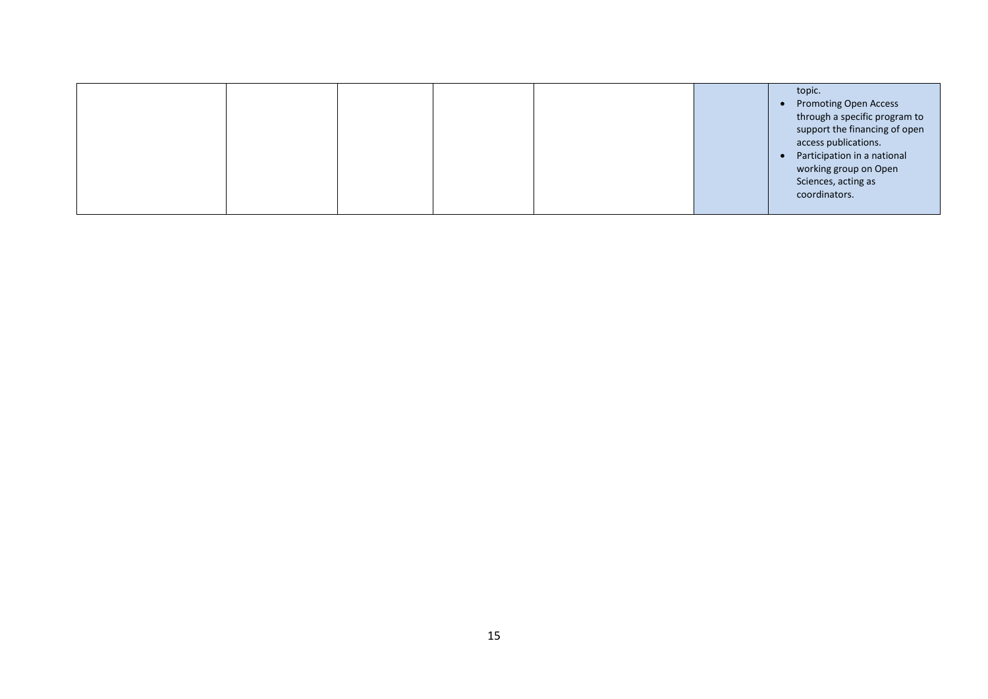|  |  |  | topic.                        |
|--|--|--|-------------------------------|
|  |  |  | <b>Promoting Open Access</b>  |
|  |  |  | through a specific program to |
|  |  |  | support the financing of open |
|  |  |  | access publications.          |
|  |  |  | Participation in a national   |
|  |  |  | working group on Open         |
|  |  |  | Sciences, acting as           |
|  |  |  | coordinators.                 |
|  |  |  |                               |